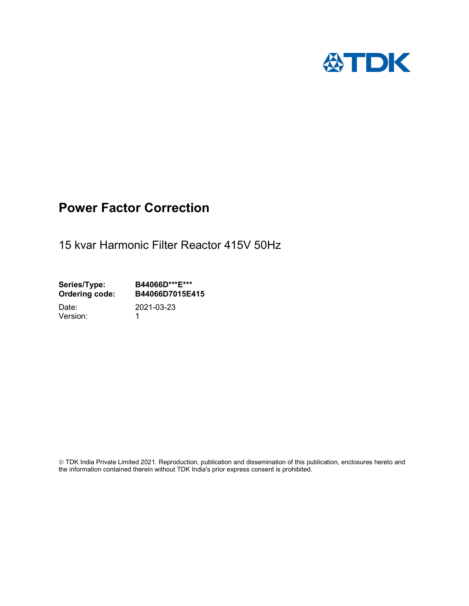

# Power Factor Correction

15 kvar Harmonic Filter Reactor 415V 50Hz

Series/Type: B44066D\*\*\*E\*\*\*<br>Ordering code: B44066D7015E4 B44066D7015E415 Date: 2021-03-23

Version: 1

 TDK India Private Limited 2021. Reproduction, publication and dissemination of this publication, enclosures hereto and the information contained therein without TDK India's prior express consent is prohibited.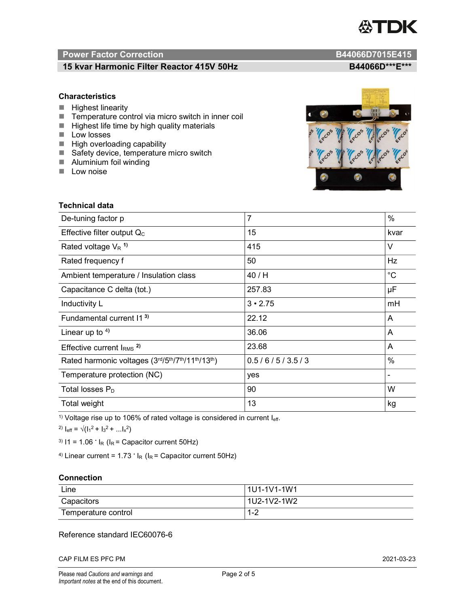

# Power Factor Correction and B44066D7015E415

# 15 kvar Harmonic Filter Reactor 415V 50Hz B44066D\*\*\*E\*\*\*

### **Characteristics**

- $H$  Highest linearity
- Temperature control via micro switch in inner coil
- $\blacksquare$  Highest life time by high quality materials
- **Low losses**
- $\blacksquare$  High overloading capability
- Safety device, temperature micro switch
- **Aluminium foil winding**
- **Low noise**



| Technical data                                  |                |             |  |
|-------------------------------------------------|----------------|-------------|--|
| De-tuning factor p                              | $\overline{7}$ | %           |  |
| Effective filter output $Q_C$                   | 15             | kvar        |  |
| Rated voltage $V_R$ <sup>1)</sup>               | 415            | V           |  |
| Rated frequency f                               | 50             | Hz          |  |
| Ambient temperature / Insulation class          | 40 / H         | $^{\circ}C$ |  |
| Capacitance C delta (tot.)                      | 257.83         | μF          |  |
| Inductivity L                                   | $3 \cdot 2.75$ | mH          |  |
| Fundamental current 11 <sup>3)</sup>            | 22.12          | A           |  |
| Linear up to $4$ )                              | 36.06          | A           |  |
| Effective current $IRMS$ <sup>2)</sup>          | 23.68          | A           |  |
| Rated harmonic voltages (3rd/5th/7th/11th/13th) | 0.5/6/5/3.5/3  | $\%$        |  |
| Temperature protection (NC)                     | yes            |             |  |
| Total losses $P_D$                              | 90             | W           |  |
| Total weight                                    | 13             | kg          |  |

<sup>1)</sup> Voltage rise up to 106% of rated voltage is considered in current  $I_{\text{eff}}$ .

<sup>2)</sup>  $I_{eff} = \sqrt{(I_1^2 + I_3^2 + ... I_x^2)}$ 

<sup>3)</sup>  $11 = 1.06$   $\cdot$   $I_R$  ( $I_R$  = Capacitor current 50Hz)

<sup>4)</sup> Linear current =  $1.73$   $\cdot$  I<sub>R</sub> (I<sub>R</sub> = Capacitor current 50Hz)

### **Connection**

| Line                | 1U1-1V1-1W1   |
|---------------------|---------------|
| Capacitors          | l 1U2-1V2-1W2 |
| Temperature control | 1 O<br>ے- ا   |

## Reference standard IEC60076-6

CAP FILM ES PFC PM 2021-03-23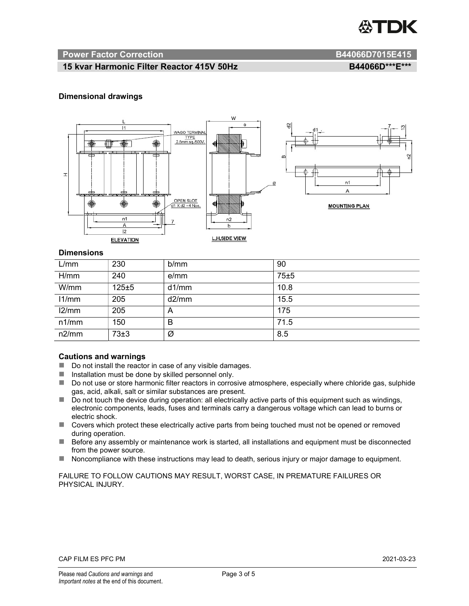

#### Power Factor Correction and B44066D7015E415

# 15 kvar Harmonic Filter Reactor 415V 50Hz BA4066D\*\*\*E\*\*\*

#### Dimensional drawings



#### **Dimensions**

| L/mm  | 230       | b/mm  | 90   |
|-------|-----------|-------|------|
| H/mm  | 240       | e/mm  | 75±5 |
| W/mm  | $125 + 5$ | d1/mm | 10.8 |
| 11/mm | 205       | d2/mm | 15.5 |
| 12/mm | 205       | A     | 175  |
| n1/mm | 150       | B     | 71.5 |
| n2/mm | 73±3      | Ø     | 8.5  |

#### Cautions and warnings

- Do not install the reactor in case of any visible damages.
- $\blacksquare$  Installation must be done by skilled personnel only.
- Do not use or store harmonic filter reactors in corrosive atmosphere, especially where chloride gas, sulphide gas, acid, alkali, salt or similar substances are present.
- Do not touch the device during operation: all electrically active parts of this equipment such as windings, electronic components, leads, fuses and terminals carry a dangerous voltage which can lead to burns or electric shock.
- Covers which protect these electrically active parts from being touched must not be opened or removed during operation.
- Before any assembly or maintenance work is started, all installations and equipment must be disconnected from the power source.
- Noncompliance with these instructions may lead to death, serious injury or major damage to equipment.

FAILURE TO FOLLOW CAUTIONS MAY RESULT, WORST CASE, IN PREMATURE FAILURES OR PHYSICAL INJURY.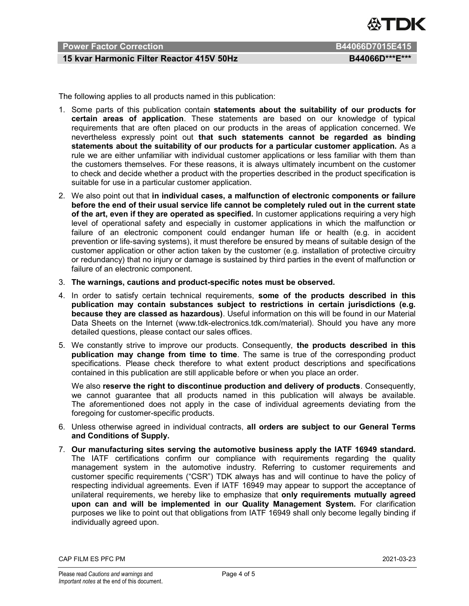

# Power Factor Correction B44066D7015E415

# 15 kvar Harmonic Filter Reactor 415V 50Hz BA4066D\*\*\*E\*\*\*

The following applies to all products named in this publication:

- 1. Some parts of this publication contain statements about the suitability of our products for certain areas of application. These statements are based on our knowledge of typical requirements that are often placed on our products in the areas of application concerned. We nevertheless expressly point out that such statements cannot be regarded as binding statements about the suitability of our products for a particular customer application. As a rule we are either unfamiliar with individual customer applications or less familiar with them than the customers themselves. For these reasons, it is always ultimately incumbent on the customer to check and decide whether a product with the properties described in the product specification is suitable for use in a particular customer application.
- 2. We also point out that in individual cases, a malfunction of electronic components or failure before the end of their usual service life cannot be completely ruled out in the current state of the art, even if they are operated as specified. In customer applications requiring a very high level of operational safety and especially in customer applications in which the malfunction or failure of an electronic component could endanger human life or health (e.g. in accident prevention or life-saving systems), it must therefore be ensured by means of suitable design of the customer application or other action taken by the customer (e.g. installation of protective circuitry or redundancy) that no injury or damage is sustained by third parties in the event of malfunction or failure of an electronic component.
- 3. The warnings, cautions and product-specific notes must be observed.
- 4. In order to satisfy certain technical requirements, some of the products described in this publication may contain substances subject to restrictions in certain jurisdictions (e.g. because they are classed as hazardous). Useful information on this will be found in our Material Data Sheets on the Internet (www.tdk-electronics.tdk.com/material). Should you have any more detailed questions, please contact our sales offices.
- 5. We constantly strive to improve our products. Consequently, the products described in this publication may change from time to time. The same is true of the corresponding product specifications. Please check therefore to what extent product descriptions and specifications contained in this publication are still applicable before or when you place an order.

We also reserve the right to discontinue production and delivery of products. Consequently, we cannot guarantee that all products named in this publication will always be available. The aforementioned does not apply in the case of individual agreements deviating from the foregoing for customer-specific products.

- 6. Unless otherwise agreed in individual contracts, all orders are subject to our General Terms and Conditions of Supply.
- 7. Our manufacturing sites serving the automotive business apply the IATF 16949 standard. The IATF certifications confirm our compliance with requirements regarding the quality management system in the automotive industry. Referring to customer requirements and customer specific requirements ("CSR") TDK always has and will continue to have the policy of respecting individual agreements. Even if IATF 16949 may appear to support the acceptance of unilateral requirements, we hereby like to emphasize that only requirements mutually agreed upon can and will be implemented in our Quality Management System. For clarification purposes we like to point out that obligations from IATF 16949 shall only become legally binding if individually agreed upon.